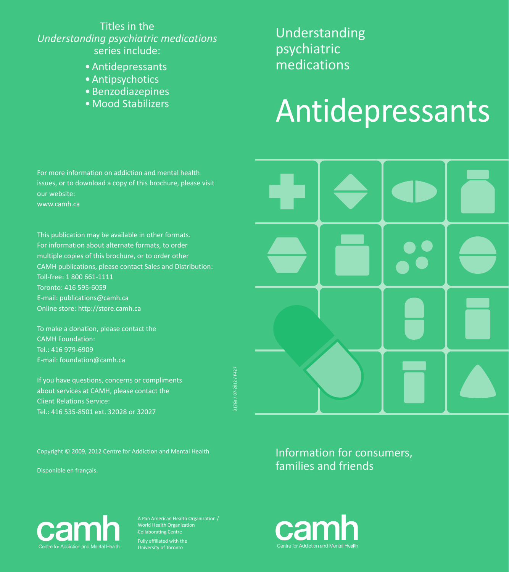#### Titles in the *Understanding psychiatric medications*  series include:

- • Antidepressants
- Antipsychotics
- Benzodiazepines
- • Mood Stabilizers

Understanding psychiatric medications

# Antidepressants

For more information on addiction and mental health issues, or to download a copy of this brochure, please visit our website: www.camh.ca

This publication may be available in other formats. For information about alternate formats, to order multiple copies of this brochure, or to order other camh publications, please contact Sales and Distribution: Toll-free: 1 800 661-1111 Toronto: 416 595-6059 E-mail: publications@camh.ca Online store: http://store.camh.ca

To make a donation, please contact the camh Foundation: Tel.: 416 979-6909 E-mail: foundation@camh.ca

If you have questions, concerns or compliments about services at CAMH, please contact the Client Relations Service: Tel.: 416 535-8501 ext. 32028 or 32027

Copyright © 2009, 2012 Centre for Addiction and Mental Health

Disponible en français.

3176a / 07-2012 / P427

Information for consumers, families and friends



A Pan American Health Organization / World Health Organization Collaborating Centre Fully affiliated with the

University of Toronto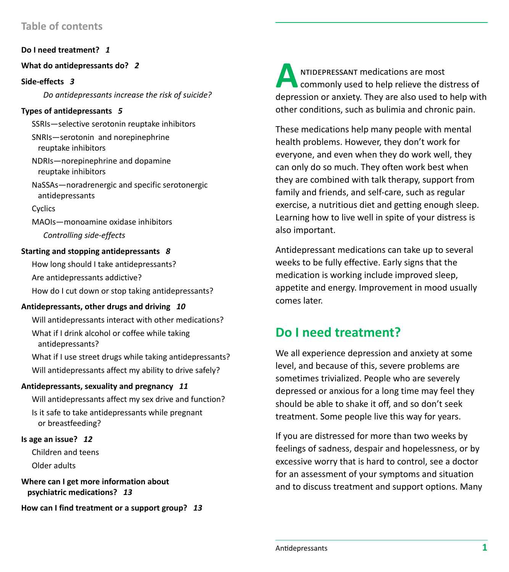#### **Table of contents**

**Do I need treatment?** *1*

#### **What do antidepressants do?** *2*

**Side-effects** *3*

*Do antidepressants increase the risk of suicide?*

#### **Types of antidepressants** *5*

SSRIs—selective serotonin reuptake inhibitors SNRIs—serotonin and norepinephrine reuptake inhibitors NDRIs—norepinephrine and dopamine reuptake inhibitors

NaSSAs—noradrenergic and specific serotonergic antidepressants

Cyclics

MAOIs—monoamine oxidase inhibitors *Controlling side-effects*

#### **Starting and stopping antidepressants** *8*

How long should I take antidepressants? Are antidepressants addictive? How do I cut down or stop taking antidepressants?

#### **Antidepressants, other drugs and driving** *10*

Will antidepressants interact with other medications? What if I drink alcohol or coffee while taking antidepressants?

What if I use street drugs while taking antidepressants? Will antidepressants affect my ability to drive safely?

#### **Antidepressants, sexuality and pregnancy** *11*

Will antidepressants affect my sex drive and function? Is it safe to take antidepressants while pregnant or breastfeeding?

#### **Is age an issue?** *12*

Children and teens Older adults

**Where can I get more information about psychiatric medications?** *13*

**How can I find treatment or a support group?** *13*

**ANTIDEPRESSANT medications are most commonly used to help relieve the distress of** depression or anxiety. They are also used to help with other conditions, such as bulimia and chronic pain.

These medications help many people with mental health problems. However, they don't work for everyone, and even when they do work well, they can only do so much. They often work best when they are combined with talk therapy, support from family and friends, and self-care, such as regular exercise, a nutritious diet and getting enough sleep. Learning how to live well in spite of your distress is also important.

Antidepressant medications can take up to several weeks to be fully effective. Early signs that the medication is working include improved sleep, appetite and energy. Improvement in mood usually comes later.

## **Do I need treatment?**

We all experience depression and anxiety at some level, and because of this, severe problems are sometimes trivialized. People who are severely depressed or anxious for a long time may feel they should be able to shake it off, and so don't seek treatment. Some people live this way for years.

If you are distressed for more than two weeks by feelings of sadness, despair and hopelessness, or by excessive worry that is hard to control, see a doctor for an assessment of your symptoms and situation and to discuss treatment and support options. Many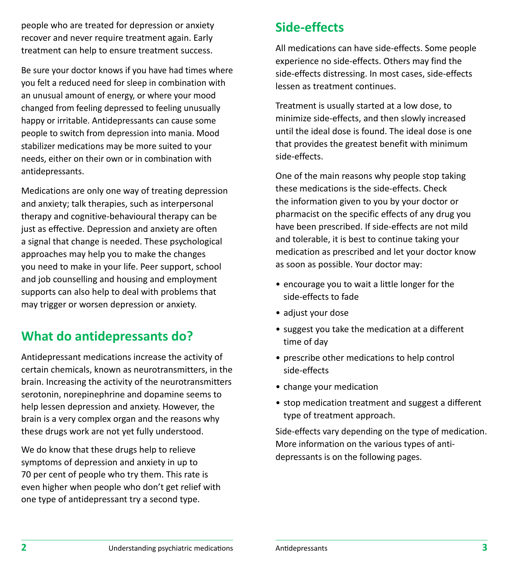people who are treated for depression or anxiety recover and never require treatment again. Early treatment can help to ensure treatment success.

Be sure your doctor knows if you have had times where you felt a reduced need for sleep in combination with an unusual amount of energy, or where your mood changed from feeling depressed to feeling unusually happy or irritable. Antidepressants can cause some people to switch from depression into mania. Mood stabilizer medications may be more suited to your needs, either on their own or in combination with antidepressants.

Medications are only one way of treating depression and anxiety; talk therapies, such as interpersonal therapy and cognitive-behavioural therapy can be just as effective. Depression and anxiety are often a signal that change is needed. These psychological approaches may help you to make the changes you need to make in your life. Peer support, school and job counselling and housing and employment supports can also help to deal with problems that may trigger or worsen depression or anxiety.

# **What do antidepressants do?**

Antidepressant medications increase the activity of certain chemicals, known as neurotransmitters, in the brain. Increasing the activity of the neurotransmitters serotonin, norepinephrine and dopamine seems to help lessen depression and anxiety. However, the brain is a very complex organ and the reasons why these drugs work are not yet fully understood.

We do know that these drugs help to relieve symptoms of depression and anxiety in up to 70 per cent of people who try them. This rate is even higher when people who don't get relief with one type of antidepressant try a second type.

# **Side-effects**

All medications can have side-effects. Some people experience no side-effects. Others may find the side-effects distressing. In most cases, side-effects lessen as treatment continues.

Treatment is usually started at a low dose, to minimize side-effects, and then slowly increased until the ideal dose is found. The ideal dose is one that provides the greatest benefit with minimum side-effects.

One of the main reasons why people stop taking these medications is the side-effects. Check the information given to you by your doctor or pharmacist on the specific effects of any drug you have been prescribed. If side-effects are not mild and tolerable, it is best to continue taking your medication as prescribed and let your doctor know as soon as possible. Your doctor may:

- encourage you to wait a little longer for the side-effects to fade
- adjust your dose
- suggest you take the medication at a different time of day
- prescribe other medications to help control side-effects
- change your medication
- stop medication treatment and suggest a different type of treatment approach.

Side-effects vary depending on the type of medication. More information on the various types of antidepressants is on the following pages.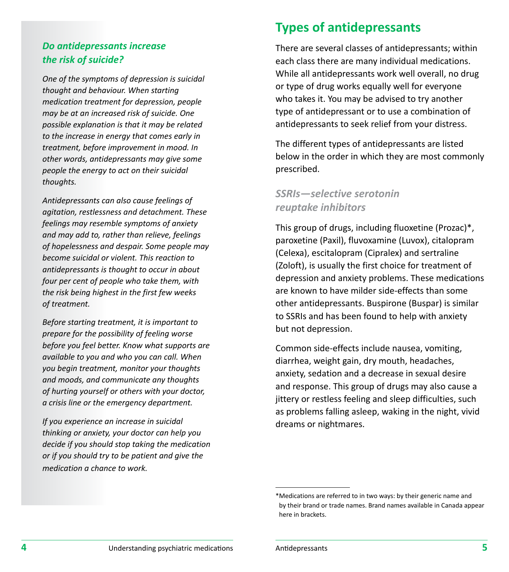#### *Do antidepressants increase the risk of suicide?*

*One of the symptoms of depression is suicidal thought and behaviour. When starting medication treatment for depression, people may be at an increased risk of suicide. One possible explanation is that it may be related to the increase in energy that comes early in treatment, before improvement in mood. In other words, antidepressants may give some people the energy to act on their suicidal thoughts.* 

*Antidepressants can also cause feelings of agitation, restlessness and detachment. These feelings may resemble symptoms of anxiety and may add to, rather than relieve, feelings of hopelessness and despair. Some people may become suicidal or violent. This reaction to antidepressants is thought to occur in about four per cent of people who take them, with the risk being highest in the first few weeks of treatment.*

*Before starting treatment, it is important to prepare for the possibility of feeling worse before you feel better. Know what supports are available to you and who you can call. When you begin treatment, monitor your thoughts and moods, and communicate any thoughts of hurting yourself or others with your doctor, a crisis line or the emergency department.* 

*If you experience an increase in suicidal thinking or anxiety, your doctor can help you decide if you should stop taking the medication or if you should try to be patient and give the medication a chance to work.*

## **Types of antidepressants**

There are several classes of antidepressants; within each class there are many individual medications. While all antidepressants work well overall, no drug or type of drug works equally well for everyone who takes it. You may be advised to try another type of antidepressant or to use a combination of antidepressants to seek relief from your distress.

The different types of antidepressants are listed below in the order in which they are most commonly prescribed.

#### *SSRIs—selective serotonin reuptake inhibitors*

This group of drugs, including fluoxetine (Prozac)\*, paroxetine (Paxil), fluvoxamine (Luvox), citalopram (Celexa), escitalopram (Cipralex) and sertraline (Zoloft), is usually the first choice for treatment of depression and anxiety problems. These medications are known to have milder side-effects than some other antidepressants. Buspirone (Buspar) is similar to SSRIs and has been found to help with anxiety but not depression.

Common side-effects include nausea, vomiting, diarrhea, weight gain, dry mouth, headaches, anxiety, sedation and a decrease in sexual desire and response. This group of drugs may also cause a jittery or restless feeling and sleep difficulties, such as problems falling asleep, waking in the night, vivid dreams or nightmares.

<sup>\*</sup> Medications are referred to in two ways: by their generic name and by their brand or trade names. Brand names available in Canada appear here in brackets.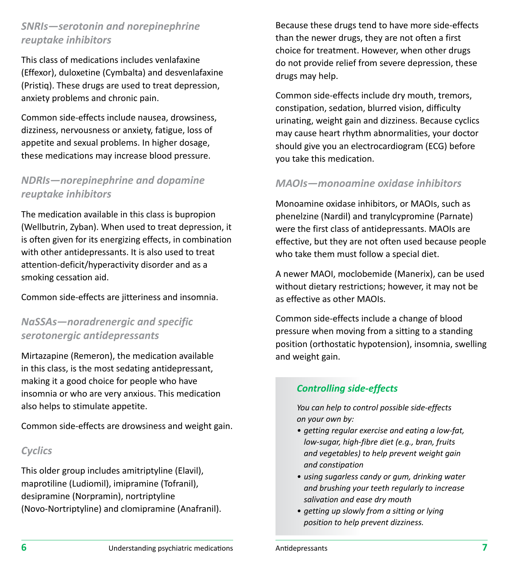## *SNRIs—serotonin and norepinephrine reuptake inhibitors*

This class of medications includes venlafaxine (Effexor), duloxetine (Cymbalta) and desvenlafaxine (Pristiq). These drugs are used to treat depression, anxiety problems and chronic pain.

Common side-effects include nausea, drowsiness, dizziness, nervousness or anxiety, fatigue, loss of appetite and sexual problems. In higher dosage, these medications may increase blood pressure.

## *NDRIs—norepinephrine and dopamine reuptake inhibitors*

The medication available in this class is bupropion (Wellbutrin, Zyban). When used to treat depression, it is often given for its energizing effects, in combination with other antidepressants. It is also used to treat attention-deficit/hyperactivity disorder and as a smoking cessation aid.

Common side-effects are jitteriness and insomnia.

#### *NaSSAs—noradrenergic and specific serotonergic antidepressants*

Mirtazapine (Remeron), the medication available in this class, is the most sedating antidepressant, making it a good choice for people who have insomnia or who are very anxious. This medication also helps to stimulate appetite.

Common side-effects are drowsiness and weight gain.

#### *Cyclics*

This older group includes amitriptyline (Elavil), maprotiline (Ludiomil), imipramine (Tofranil), desipramine (Norpramin), nortriptyline (Novo-Nortriptyline) and clomipramine (Anafranil).

Because these drugs tend to have more side-effects than the newer drugs, they are not often a first choice for treatment. However, when other drugs do not provide relief from severe depression, these drugs may help.

Common side-effects include dry mouth, tremors, constipation, sedation, blurred vision, difficulty urinating, weight gain and dizziness. Because cyclics may cause heart rhythm abnormalities, your doctor should give you an electrocardiogram (ECG) before you take this medication.

#### *MAOIs—monoamine oxidase inhibitors*

Monoamine oxidase inhibitors, or MAOIs, such as phenelzine (Nardil) and tranylcypromine (Parnate) were the first class of antidepressants. MAOIs are effective, but they are not often used because people who take them must follow a special diet.

A newer MAOI, moclobemide (Manerix), can be used without dietary restrictions; however, it may not be as effective as other MAOIs.

Common side-effects include a change of blood pressure when moving from a sitting to a standing position (orthostatic hypotension), insomnia, swelling and weight gain.

#### *Controlling side-effects*

*You can help to control possible side-effects on your own by:*

- *• getting regular exercise and eating a low-fat, low-sugar, high-fibre diet (e.g., bran, fruits and vegetables) to help prevent weight gain and constipation*
- *• using sugarless candy or gum, drinking water and brushing your teeth regularly to increase salivation and ease dry mouth*
- *• getting up slowly from a sitting or lying position to help prevent dizziness.*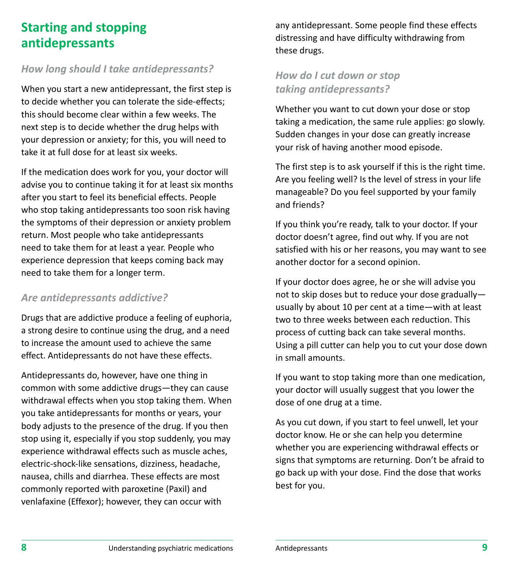## **Starting and stopping antidepressants**

#### *How long should I take antidepressants?*

When you start a new antidepressant, the first step is to decide whether you can tolerate the side-effects; this should become clear within a few weeks. The next step is to decide whether the drug helps with your depression or anxiety; for this, you will need to take it at full dose for at least six weeks.

If the medication does work for you, your doctor will advise you to continue taking it for at least six months after you start to feel its beneficial effects. People who stop taking antidepressants too soon risk having the symptoms of their depression or anxiety problem return. Most people who take antidepressants need to take them for at least a year. People who experience depression that keeps coming back may need to take them for a longer term.

#### *Are antidepressants addictive?*

Drugs that are addictive produce a feeling of euphoria, a strong desire to continue using the drug, and a need to increase the amount used to achieve the same effect. Antidepressants do not have these effects.

Antidepressants do, however, have one thing in common with some addictive drugs—they can cause withdrawal effects when you stop taking them. When you take antidepressants for months or years, your body adjusts to the presence of the drug. If you then stop using it, especially if you stop suddenly, you may experience withdrawal effects such as muscle aches, electric-shock-like sensations, dizziness, headache, nausea, chills and diarrhea. These effects are most commonly reported with paroxetine (Paxil) and venlafaxine (Effexor); however, they can occur with

any antidepressant. Some people find these effects distressing and have difficulty withdrawing from these drugs.

## *How do I cut down or stop taking antidepressants?*

Whether you want to cut down your dose or stop taking a medication, the same rule applies: go slowly. Sudden changes in your dose can greatly increase your risk of having another mood episode.

The first step is to ask yourself if this is the right time. Are you feeling well? Is the level of stress in your life manageable? Do you feel supported by your family and friends?

If you think you're ready, talk to your doctor. If your doctor doesn't agree, find out why. If you are not satisfied with his or her reasons, you may want to see another doctor for a second opinion.

If your doctor does agree, he or she will advise you not to skip doses but to reduce your dose gradually usually by about 10 per cent at a time—with at least two to three weeks between each reduction. This process of cutting back can take several months. Using a pill cutter can help you to cut your dose down in small amounts.

If you want to stop taking more than one medication, your doctor will usually suggest that you lower the dose of one drug at a time.

As you cut down, if you start to feel unwell, let your doctor know. He or she can help you determine whether you are experiencing withdrawal effects or signs that symptoms are returning. Don't be afraid to go back up with your dose. Find the dose that works best for you.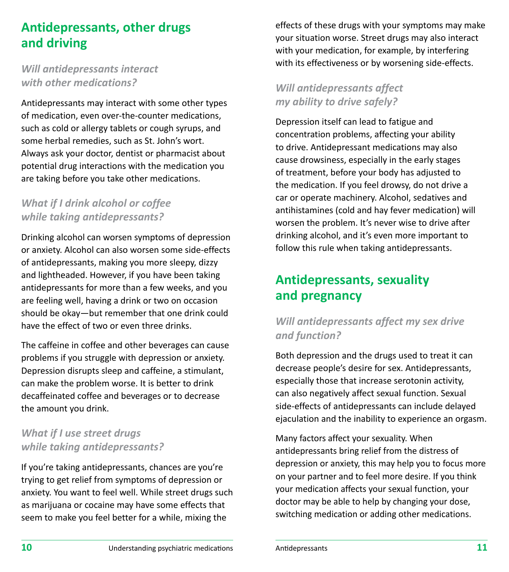# **Antidepressants, other drugs and driving**

#### *Will antidepressants interact with other medications?*

Antidepressants may interact with some other types of medication, even over-the-counter medications, such as cold or allergy tablets or cough syrups, and some herbal remedies, such as St. John's wort. Always ask your doctor, dentist or pharmacist about potential drug interactions with the medication you are taking before you take other medications.

#### *What if I drink alcohol or coffee while taking antidepressants?*

Drinking alcohol can worsen symptoms of depression or anxiety. Alcohol can also worsen some side-effects of antidepressants, making you more sleepy, dizzy and lightheaded. However, if you have been taking antidepressants for more than a few weeks, and you are feeling well, having a drink or two on occasion should be okay—but remember that one drink could have the effect of two or even three drinks.

The caffeine in coffee and other beverages can cause problems if you struggle with depression or anxiety. Depression disrupts sleep and caffeine, a stimulant, can make the problem worse. It is better to drink decaffeinated coffee and beverages or to decrease the amount you drink.

## *What if I use street drugs while taking antidepressants?*

If you're taking antidepressants, chances are you're trying to get relief from symptoms of depression or anxiety. You want to feel well. While street drugs such as marijuana or cocaine may have some effects that seem to make you feel better for a while, mixing the

effects of these drugs with your symptoms may make your situation worse. Street drugs may also interact with your medication, for example, by interfering with its effectiveness or by worsening side-effects.

## *Will antidepressants affect my ability to drive safely?*

Depression itself can lead to fatigue and concentration problems, affecting your ability to drive. Antidepressant medications may also cause drowsiness, especially in the early stages of treatment, before your body has adjusted to the medication. If you feel drowsy, do not drive a car or operate machinery. Alcohol, sedatives and antihistamines (cold and hay fever medication) will worsen the problem. It's never wise to drive after drinking alcohol, and it's even more important to follow this rule when taking antidepressants.

# **Antidepressants, sexuality and pregnancy**

## *Will antidepressants affect my sex drive and function?*

Both depression and the drugs used to treat it can decrease people's desire for sex. Antidepressants, especially those that increase serotonin activity, can also negatively affect sexual function. Sexual side-effects of antidepressants can include delayed ejaculation and the inability to experience an orgasm.

Many factors affect your sexuality. When antidepressants bring relief from the distress of depression or anxiety, this may help you to focus more on your partner and to feel more desire. If you think your medication affects your sexual function, your doctor may be able to help by changing your dose, switching medication or adding other medications.